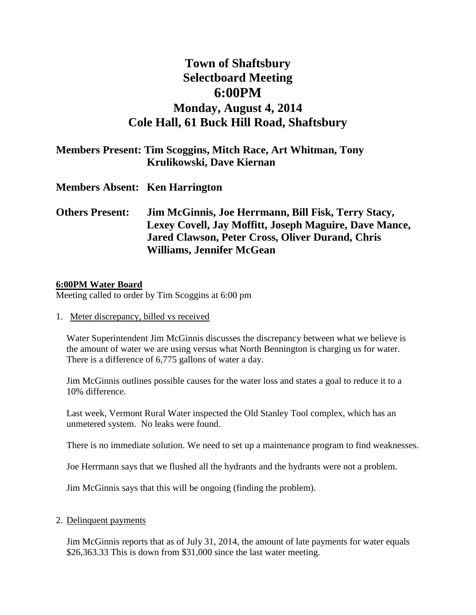# **Town of Shaftsbury Selectboard Meeting 6:00PM Monday, August 4, 2014 Cole Hall, 61 Buck Hill Road, Shaftsbury**

|                                       | <b>Members Present: Tim Scoggins, Mitch Race, Art Whitman, Tony</b><br>Krulikowski, Dave Kiernan |
|---------------------------------------|--------------------------------------------------------------------------------------------------|
| <b>Members Absent: Ken Harrington</b> |                                                                                                  |
| Others Present:                       | Jim McGinnis, Joe Herrmann, Bill Fisk, Terry Stacy,                                              |

## **Others Present: Jim McGinnis, Joe Herrmann, Bill Fisk, Terry Stacy, Lexey Covell, Jay Moffitt, Joseph Maguire, Dave Mance, Jared Clawson, Peter Cross, Oliver Durand, Chris Williams, Jennifer McGean**

#### **6:00PM Water Board**

Meeting called to order by Tim Scoggins at 6:00 pm

1. Meter discrepancy, billed vs received

Water Superintendent Jim McGinnis discusses the discrepancy between what we believe is the amount of water we are using versus what North Bennington is charging us for water. There is a difference of 6,775 gallons of water a day.

Jim McGinnis outlines possible causes for the water loss and states a goal to reduce it to a 10% difference.

Last week, Vermont Rural Water inspected the Old Stanley Tool complex, which has an unmetered system. No leaks were found.

There is no immediate solution. We need to set up a maintenance program to find weaknesses.

Joe Herrmann says that we flushed all the hydrants and the hydrants were not a problem.

Jim McGinnis says that this will be ongoing (finding the problem).

2. Delinquent payments

Jim McGinnis reports that as of July 31, 2014, the amount of late payments for water equals \$26,363.33 This is down from \$31,000 since the last water meeting.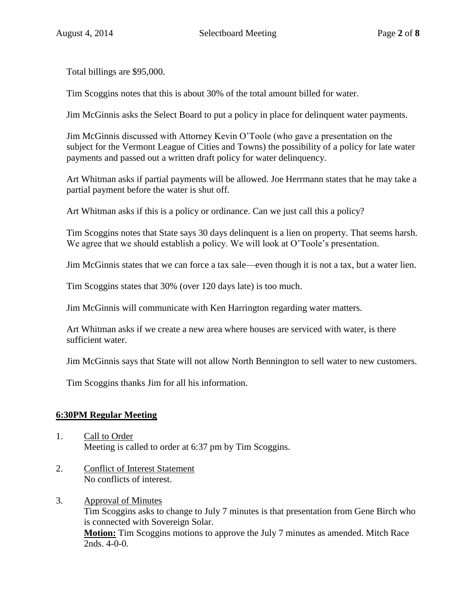Total billings are \$95,000.

Tim Scoggins notes that this is about 30% of the total amount billed for water.

Jim McGinnis asks the Select Board to put a policy in place for delinquent water payments.

Jim McGinnis discussed with Attorney Kevin O'Toole (who gave a presentation on the subject for the Vermont League of Cities and Towns) the possibility of a policy for late water payments and passed out a written draft policy for water delinquency.

Art Whitman asks if partial payments will be allowed. Joe Herrmann states that he may take a partial payment before the water is shut off.

Art Whitman asks if this is a policy or ordinance. Can we just call this a policy?

Tim Scoggins notes that State says 30 days delinquent is a lien on property. That seems harsh. We agree that we should establish a policy. We will look at O'Toole's presentation.

Jim McGinnis states that we can force a tax sale—even though it is not a tax, but a water lien.

Tim Scoggins states that 30% (over 120 days late) is too much.

Jim McGinnis will communicate with Ken Harrington regarding water matters.

Art Whitman asks if we create a new area where houses are serviced with water, is there sufficient water.

Jim McGinnis says that State will not allow North Bennington to sell water to new customers.

Tim Scoggins thanks Jim for all his information.

## **6:30PM Regular Meeting**

- 1. Call to Order Meeting is called to order at 6:37 pm by Tim Scoggins.
- 2. Conflict of Interest Statement No conflicts of interest.
- 3. Approval of Minutes Tim Scoggins asks to change to July 7 minutes is that presentation from Gene Birch who is connected with Sovereign Solar. **Motion:** Tim Scoggins motions to approve the July 7 minutes as amended. Mitch Race 2nds. 4-0-0.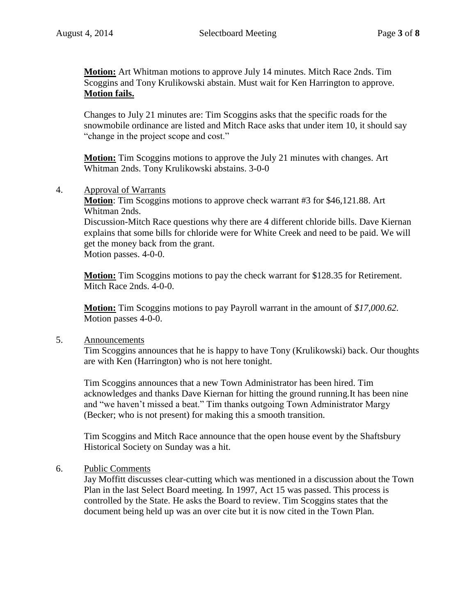**Motion:** Art Whitman motions to approve July 14 minutes. Mitch Race 2nds. Tim Scoggins and Tony Krulikowski abstain. Must wait for Ken Harrington to approve. **Motion fails.**

Changes to July 21 minutes are: Tim Scoggins asks that the specific roads for the snowmobile ordinance are listed and Mitch Race asks that under item 10, it should say "change in the project scope and cost."

**Motion:** Tim Scoggins motions to approve the July 21 minutes with changes. Art Whitman 2nds. Tony Krulikowski abstains. 3-0-0

4. Approval of Warrants

**Motion**: Tim Scoggins motions to approve check warrant #3 for \$46,121.88. Art Whitman 2nds.

Discussion-Mitch Race questions why there are 4 different chloride bills. Dave Kiernan explains that some bills for chloride were for White Creek and need to be paid. We will get the money back from the grant.

Motion passes. 4-0-0.

**Motion:** Tim Scoggins motions to pay the check warrant for \$128.35 for Retirement. Mitch Race 2nds. 4-0-0.

**Motion:** Tim Scoggins motions to pay Payroll warrant in the amount of *\$17,000.62.* Motion passes 4-0-0.

#### 5. Announcements

Tim Scoggins announces that he is happy to have Tony (Krulikowski) back. Our thoughts are with Ken (Harrington) who is not here tonight.

Tim Scoggins announces that a new Town Administrator has been hired. Tim acknowledges and thanks Dave Kiernan for hitting the ground running.It has been nine and "we haven't missed a beat." Tim thanks outgoing Town Administrator Margy (Becker; who is not present) for making this a smooth transition.

Tim Scoggins and Mitch Race announce that the open house event by the Shaftsbury Historical Society on Sunday was a hit.

## 6. Public Comments

Jay Moffitt discusses clear-cutting which was mentioned in a discussion about the Town Plan in the last Select Board meeting. In 1997, Act 15 was passed. This process is controlled by the State. He asks the Board to review. Tim Scoggins states that the document being held up was an over cite but it is now cited in the Town Plan.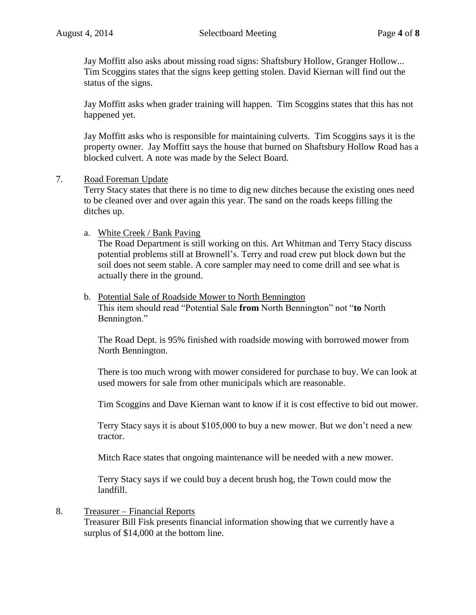Jay Moffitt also asks about missing road signs: Shaftsbury Hollow, Granger Hollow... Tim Scoggins states that the signs keep getting stolen. David Kiernan will find out the status of the signs.

Jay Moffitt asks when grader training will happen. Tim Scoggins states that this has not happened yet.

Jay Moffitt asks who is responsible for maintaining culverts. Tim Scoggins says it is the property owner. Jay Moffitt says the house that burned on Shaftsbury Hollow Road has a blocked culvert. A note was made by the Select Board.

#### 7. Road Foreman Update

Terry Stacy states that there is no time to dig new ditches because the existing ones need to be cleaned over and over again this year. The sand on the roads keeps filling the ditches up.

#### a. White Creek / Bank Paving

The Road Department is still working on this. Art Whitman and Terry Stacy discuss potential problems still at Brownell's. Terry and road crew put block down but the soil does not seem stable. A core sampler may need to come drill and see what is actually there in the ground.

## b. Potential Sale of Roadside Mower to North Bennington

This item should read "Potential Sale **from** North Bennington" not "**to** North Bennington."

The Road Dept. is 95% finished with roadside mowing with borrowed mower from North Bennington.

There is too much wrong with mower considered for purchase to buy. We can look at used mowers for sale from other municipals which are reasonable.

Tim Scoggins and Dave Kiernan want to know if it is cost effective to bid out mower.

Terry Stacy says it is about \$105,000 to buy a new mower. But we don't need a new tractor.

Mitch Race states that ongoing maintenance will be needed with a new mower.

Terry Stacy says if we could buy a decent brush hog, the Town could mow the landfill.

#### 8. Treasurer – Financial Reports

Treasurer Bill Fisk presents financial information showing that we currently have a surplus of \$14,000 at the bottom line.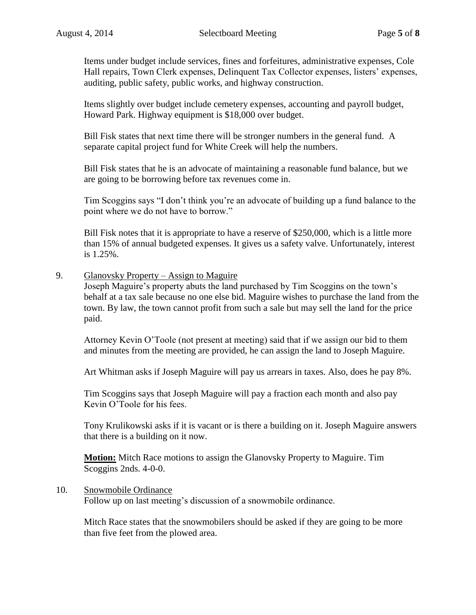Items under budget include services, fines and forfeitures, administrative expenses, Cole Hall repairs, Town Clerk expenses, Delinquent Tax Collector expenses, listers' expenses, auditing, public safety, public works, and highway construction.

Items slightly over budget include cemetery expenses, accounting and payroll budget, Howard Park. Highway equipment is \$18,000 over budget.

Bill Fisk states that next time there will be stronger numbers in the general fund. A separate capital project fund for White Creek will help the numbers.

Bill Fisk states that he is an advocate of maintaining a reasonable fund balance, but we are going to be borrowing before tax revenues come in.

Tim Scoggins says "I don't think you're an advocate of building up a fund balance to the point where we do not have to borrow."

Bill Fisk notes that it is appropriate to have a reserve of \$250,000, which is a little more than 15% of annual budgeted expenses. It gives us a safety valve. Unfortunately, interest is 1.25%.

#### 9. Glanovsky Property – Assign to Maguire

Joseph Maguire's property abuts the land purchased by Tim Scoggins on the town's behalf at a tax sale because no one else bid. Maguire wishes to purchase the land from the town. By law, the town cannot profit from such a sale but may sell the land for the price paid.

Attorney Kevin O'Toole (not present at meeting) said that if we assign our bid to them and minutes from the meeting are provided, he can assign the land to Joseph Maguire.

Art Whitman asks if Joseph Maguire will pay us arrears in taxes. Also, does he pay 8%.

Tim Scoggins says that Joseph Maguire will pay a fraction each month and also pay Kevin O'Toole for his fees.

Tony Krulikowski asks if it is vacant or is there a building on it. Joseph Maguire answers that there is a building on it now.

**Motion:** Mitch Race motions to assign the Glanovsky Property to Maguire. Tim Scoggins 2nds. 4-0-0.

## 10. Snowmobile Ordinance

Follow up on last meeting's discussion of a snowmobile ordinance.

Mitch Race states that the snowmobilers should be asked if they are going to be more than five feet from the plowed area.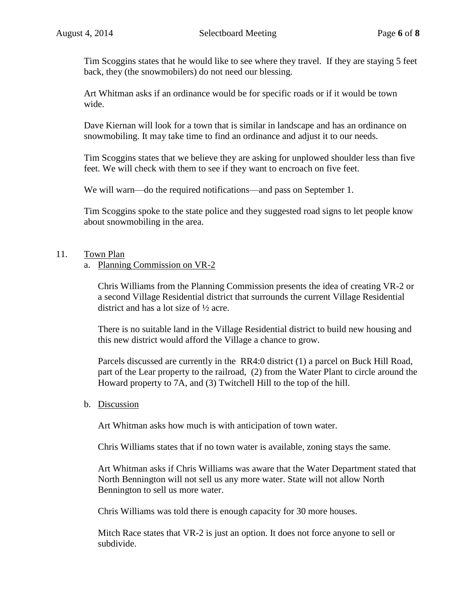Tim Scoggins states that he would like to see where they travel. If they are staying 5 feet back, they (the snowmobilers) do not need our blessing.

Art Whitman asks if an ordinance would be for specific roads or if it would be town wide.

Dave Kiernan will look for a town that is similar in landscape and has an ordinance on snowmobiling. It may take time to find an ordinance and adjust it to our needs.

Tim Scoggins states that we believe they are asking for unplowed shoulder less than five feet. We will check with them to see if they want to encroach on five feet.

We will warn—do the required notifications—and pass on September 1.

Tim Scoggins spoke to the state police and they suggested road signs to let people know about snowmobiling in the area.

## 11. Town Plan

## a. Planning Commission on VR-2

Chris Williams from the Planning Commission presents the idea of creating VR-2 or a second Village Residential district that surrounds the current Village Residential district and has a lot size of ½ acre.

There is no suitable land in the Village Residential district to build new housing and this new district would afford the Village a chance to grow.

Parcels discussed are currently in the RR4:0 district (1) a parcel on Buck Hill Road, part of the Lear property to the railroad, (2) from the Water Plant to circle around the Howard property to 7A, and (3) Twitchell Hill to the top of the hill.

#### b. Discussion

Art Whitman asks how much is with anticipation of town water.

Chris Williams states that if no town water is available, zoning stays the same.

Art Whitman asks if Chris Williams was aware that the Water Department stated that North Bennington will not sell us any more water. State will not allow North Bennington to sell us more water.

Chris Williams was told there is enough capacity for 30 more houses.

Mitch Race states that VR-2 is just an option. It does not force anyone to sell or subdivide.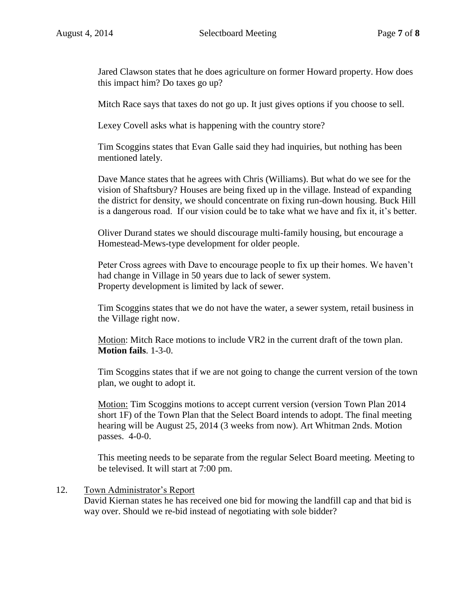Jared Clawson states that he does agriculture on former Howard property. How does this impact him? Do taxes go up?

Mitch Race says that taxes do not go up. It just gives options if you choose to sell.

Lexey Covell asks what is happening with the country store?

Tim Scoggins states that Evan Galle said they had inquiries, but nothing has been mentioned lately.

Dave Mance states that he agrees with Chris (Williams). But what do we see for the vision of Shaftsbury? Houses are being fixed up in the village. Instead of expanding the district for density, we should concentrate on fixing run-down housing. Buck Hill is a dangerous road. If our vision could be to take what we have and fix it, it's better.

Oliver Durand states we should discourage multi-family housing, but encourage a Homestead-Mews-type development for older people.

Peter Cross agrees with Dave to encourage people to fix up their homes. We haven't had change in Village in 50 years due to lack of sewer system. Property development is limited by lack of sewer.

Tim Scoggins states that we do not have the water, a sewer system, retail business in the Village right now.

Motion: Mitch Race motions to include VR2 in the current draft of the town plan. **Motion fails**. 1-3-0.

Tim Scoggins states that if we are not going to change the current version of the town plan, we ought to adopt it.

Motion: Tim Scoggins motions to accept current version (version Town Plan 2014 short 1F) of the Town Plan that the Select Board intends to adopt. The final meeting hearing will be August 25, 2014 (3 weeks from now). Art Whitman 2nds. Motion passes. 4-0-0.

This meeting needs to be separate from the regular Select Board meeting. Meeting to be televised. It will start at 7:00 pm.

## 12. Town Administrator's Report

David Kiernan states he has received one bid for mowing the landfill cap and that bid is way over. Should we re-bid instead of negotiating with sole bidder?